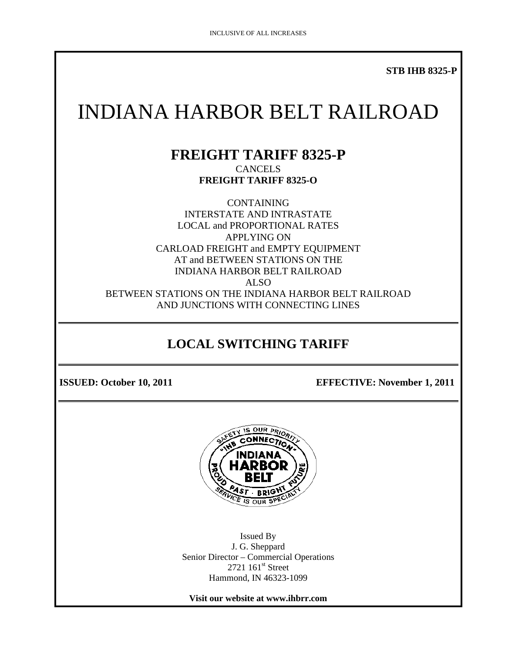**STB IHB 8325-P** 

# INDIANA HARBOR BELT RAILROAD

#### **FREIGHT TARIFF 8325-P CANCELS FREIGHT TARIFF 8325-O**

CONTAINING INTERSTATE AND INTRASTATE LOCAL and PROPORTIONAL RATES APPLYING ON CARLOAD FREIGHT and EMPTY EQUIPMENT AT and BETWEEN STATIONS ON THE INDIANA HARBOR BELT RAILROAD ALSO BETWEEN STATIONS ON THE INDIANA HARBOR BELT RAILROAD AND JUNCTIONS WITH CONNECTING LINES

# **LOCAL SWITCHING TARIFF**

**ISSUED: October 10, 2011 EFFECTIVE: November 1, 2011** 



Issued By J. G. Sheppard Senior Director – Commercial Operations  $2721$   $161$ <sup>st</sup> Street Hammond, IN 46323-1099

**Visit our website at www.ihbrr.com**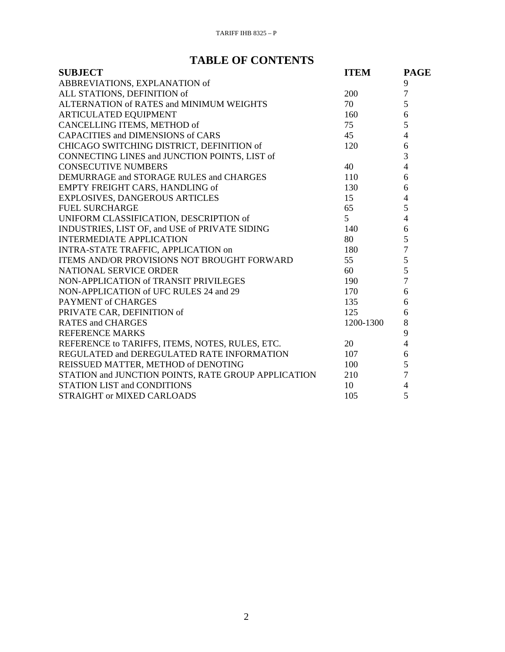## **TABLE OF CONTENTS**

| <b>SUBJECT</b>                                      | <b>ITEM</b>    | <b>PAGE</b>    |
|-----------------------------------------------------|----------------|----------------|
| ABBREVIATIONS, EXPLANATION of                       |                | 9              |
| ALL STATIONS, DEFINITION of                         | 200            | $\overline{7}$ |
| ALTERNATION of RATES and MINIMUM WEIGHTS            | 70             | 5              |
| ARTICULATED EQUIPMENT                               | 160            | 6              |
| CANCELLING ITEMS, METHOD of                         | 75             | 5              |
| <b>CAPACITIES and DIMENSIONS of CARS</b>            | 45             | $\overline{4}$ |
| CHICAGO SWITCHING DISTRICT, DEFINITION of           | 120            | 6              |
| CONNECTING LINES and JUNCTION POINTS, LIST of       |                | $\overline{3}$ |
| <b>CONSECUTIVE NUMBERS</b>                          | 40             | $\overline{4}$ |
| DEMURRAGE and STORAGE RULES and CHARGES             | 110            | 6              |
| EMPTY FREIGHT CARS, HANDLING of                     | 130            | 6              |
| <b>EXPLOSIVES, DANGEROUS ARTICLES</b>               | 15             | $\overline{4}$ |
| <b>FUEL SURCHARGE</b>                               | 65             | 5              |
| UNIFORM CLASSIFICATION, DESCRIPTION of              | 5 <sup>1</sup> | $\overline{4}$ |
| INDUSTRIES, LIST OF, and USE of PRIVATE SIDING      | 140            | 6              |
| <b>INTERMEDIATE APPLICATION</b>                     | 80             | 5              |
| INTRA-STATE TRAFFIC, APPLICATION on                 | 180            | $\overline{7}$ |
| ITEMS AND/OR PROVISIONS NOT BROUGHT FORWARD         | 55             | 5              |
| NATIONAL SERVICE ORDER                              | 60             | 5              |
| NON-APPLICATION of TRANSIT PRIVILEGES               | 190            | $\overline{7}$ |
| NON-APPLICATION of UFC RULES 24 and 29              | 170            | 6              |
| PAYMENT of CHARGES                                  | 135            | 6              |
| PRIVATE CAR, DEFINITION of                          | 125            | 6              |
| <b>RATES and CHARGES</b>                            | 1200-1300      | 8              |
| <b>REFERENCE MARKS</b>                              |                | 9              |
| REFERENCE to TARIFFS, ITEMS, NOTES, RULES, ETC.     | 20             | $\overline{4}$ |
| REGULATED and DEREGULATED RATE INFORMATION          | 107            | 6              |
| REISSUED MATTER, METHOD of DENOTING                 | 100            | 5              |
| STATION and JUNCTION POINTS, RATE GROUP APPLICATION | 210            | $\overline{7}$ |
| <b>STATION LIST and CONDITIONS</b>                  | 10             | $\overline{4}$ |
| STRAIGHT or MIXED CARLOADS                          | 105            | 5              |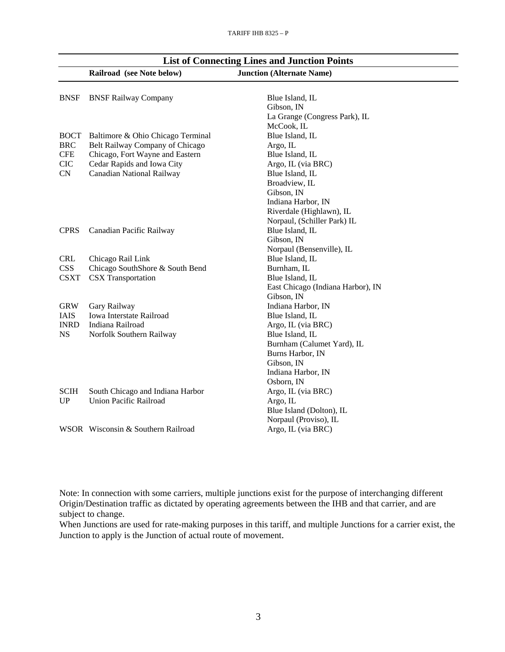|             | Railroad (see Note below)          | <b>Junction (Alternate Name)</b>  |
|-------------|------------------------------------|-----------------------------------|
| <b>BNSF</b> | <b>BNSF Railway Company</b>        | Blue Island, IL                   |
|             |                                    | Gibson, IN                        |
|             |                                    | La Grange (Congress Park), IL     |
|             |                                    | McCook, IL                        |
| <b>BOCT</b> | Baltimore & Ohio Chicago Terminal  | Blue Island, IL                   |
| <b>BRC</b>  | Belt Railway Company of Chicago    | Argo, IL                          |
| <b>CFE</b>  | Chicago, Fort Wayne and Eastern    | Blue Island, IL                   |
| <b>CIC</b>  | Cedar Rapids and Iowa City         | Argo, IL (via BRC)                |
| CN          | Canadian National Railway          | Blue Island, IL                   |
|             |                                    | Broadview, IL                     |
|             |                                    | Gibson, IN                        |
|             |                                    | Indiana Harbor, IN                |
|             |                                    | Riverdale (Highlawn), IL          |
|             |                                    | Norpaul, (Schiller Park) IL       |
| <b>CPRS</b> | Canadian Pacific Railway           | Blue Island, IL                   |
|             |                                    | Gibson, IN                        |
|             |                                    | Norpaul (Bensenville), IL         |
| <b>CRL</b>  | Chicago Rail Link                  | Blue Island, IL                   |
| <b>CSS</b>  | Chicago SouthShore & South Bend    | Burnham, IL                       |
| <b>CSXT</b> | <b>CSX</b> Transportation          | Blue Island, IL                   |
|             |                                    | East Chicago (Indiana Harbor), IN |
|             |                                    | Gibson, IN                        |
| <b>GRW</b>  | Gary Railway                       | Indiana Harbor, IN                |
| <b>IAIS</b> | Iowa Interstate Railroad           | Blue Island, IL                   |
| <b>INRD</b> | Indiana Railroad                   | Argo, IL (via BRC)                |
| <b>NS</b>   | Norfolk Southern Railway           | Blue Island, IL                   |
|             |                                    | Burnham (Calumet Yard), IL        |
|             |                                    | Burns Harbor, IN                  |
|             |                                    | Gibson, IN                        |
|             |                                    | Indiana Harbor, IN                |
|             |                                    | Osborn, IN                        |
| <b>SCIH</b> | South Chicago and Indiana Harbor   | Argo, IL (via BRC)                |
| UP          | Union Pacific Railroad             | Argo, IL                          |
|             |                                    | Blue Island (Dolton), IL          |
|             |                                    | Norpaul (Proviso), IL             |
|             | WSOR Wisconsin & Southern Railroad | Argo, IL (via BRC)                |
|             |                                    |                                   |

# **List of Connecting Lines and Junction Points**

Note: In connection with some carriers, multiple junctions exist for the purpose of interchanging different Origin/Destination traffic as dictated by operating agreements between the IHB and that carrier, and are subject to change.

When Junctions are used for rate-making purposes in this tariff, and multiple Junctions for a carrier exist, the Junction to apply is the Junction of actual route of movement.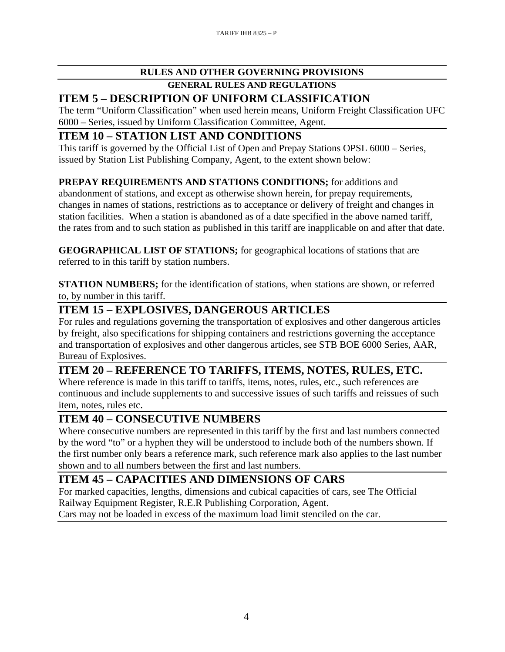#### **RULES AND OTHER GOVERNING PROVISIONS GENERAL RULES AND REGULATIONS**

#### **ITEM 5 – DESCRIPTION OF UNIFORM CLASSIFICATION**

The term "Uniform Classification" when used herein means, Uniform Freight Classification UFC 6000 – Series, issued by Uniform Classification Committee, Agent.

#### **ITEM 10 – STATION LIST AND CONDITIONS**

This tariff is governed by the Official List of Open and Prepay Stations OPSL 6000 – Series, issued by Station List Publishing Company, Agent, to the extent shown below:

#### **PREPAY REQUIREMENTS AND STATIONS CONDITIONS;** for additions and

abandonment of stations, and except as otherwise shown herein, for prepay requirements, changes in names of stations, restrictions as to acceptance or delivery of freight and changes in station facilities. When a station is abandoned as of a date specified in the above named tariff, the rates from and to such station as published in this tariff are inapplicable on and after that date.

**GEOGRAPHICAL LIST OF STATIONS;** for geographical locations of stations that are referred to in this tariff by station numbers.

**STATION NUMBERS;** for the identification of stations, when stations are shown, or referred to, by number in this tariff.

#### **ITEM 15 – EXPLOSIVES, DANGEROUS ARTICLES**

For rules and regulations governing the transportation of explosives and other dangerous articles by freight, also specifications for shipping containers and restrictions governing the acceptance and transportation of explosives and other dangerous articles, see STB BOE 6000 Series, AAR, Bureau of Explosives.

## **ITEM 20 – REFERENCE TO TARIFFS, ITEMS, NOTES, RULES, ETC.**

Where reference is made in this tariff to tariffs, items, notes, rules, etc., such references are continuous and include supplements to and successive issues of such tariffs and reissues of such item, notes, rules etc.

#### **ITEM 40 – CONSECUTIVE NUMBERS**

Where consecutive numbers are represented in this tariff by the first and last numbers connected by the word "to" or a hyphen they will be understood to include both of the numbers shown. If the first number only bears a reference mark, such reference mark also applies to the last number shown and to all numbers between the first and last numbers.

## **ITEM 45 – CAPACITIES AND DIMENSIONS OF CARS**

For marked capacities, lengths, dimensions and cubical capacities of cars, see The Official Railway Equipment Register, R.E.R Publishing Corporation, Agent.

Cars may not be loaded in excess of the maximum load limit stenciled on the car.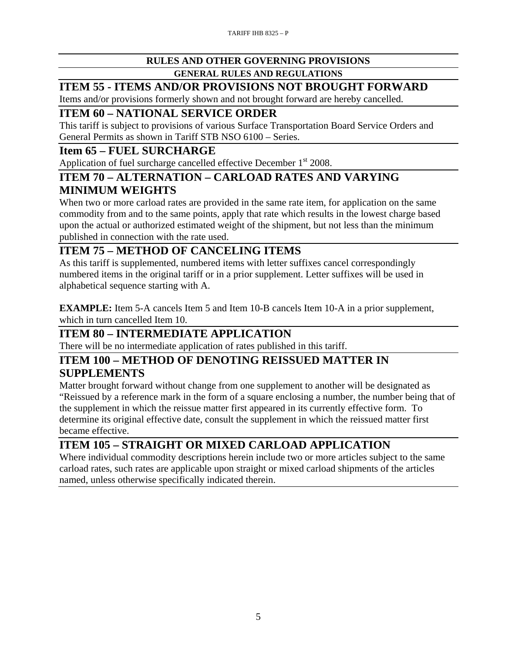#### **RULES AND OTHER GOVERNING PROVISIONS**

#### **GENERAL RULES AND REGULATIONS**

# **ITEM 55 - ITEMS AND/OR PROVISIONS NOT BROUGHT FORWARD**

Items and/or provisions formerly shown and not brought forward are hereby cancelled.

## **ITEM 60 – NATIONAL SERVICE ORDER**

This tariff is subject to provisions of various Surface Transportation Board Service Orders and General Permits as shown in Tariff STB NSO 6100 – Series.

#### **Item 65 – FUEL SURCHARGE**

Application of fuel surcharge cancelled effective December  $1<sup>st</sup>$  2008.

#### **ITEM 70 – ALTERNATION – CARLOAD RATES AND VARYING MINIMUM WEIGHTS**

When two or more carload rates are provided in the same rate item, for application on the same commodity from and to the same points, apply that rate which results in the lowest charge based upon the actual or authorized estimated weight of the shipment, but not less than the minimum published in connection with the rate used.

## **ITEM 75 – METHOD OF CANCELING ITEMS**

As this tariff is supplemented, numbered items with letter suffixes cancel correspondingly numbered items in the original tariff or in a prior supplement. Letter suffixes will be used in alphabetical sequence starting with A.

**EXAMPLE:** Item 5-A cancels Item 5 and Item 10-B cancels Item 10-A in a prior supplement, which in turn cancelled Item 10.

## **ITEM 80 – INTERMEDIATE APPLICATION**

There will be no intermediate application of rates published in this tariff.

#### **ITEM 100 – METHOD OF DENOTING REISSUED MATTER IN SUPPLEMENTS**

Matter brought forward without change from one supplement to another will be designated as "Reissued by a reference mark in the form of a square enclosing a number, the number being that of the supplement in which the reissue matter first appeared in its currently effective form. To determine its original effective date, consult the supplement in which the reissued matter first became effective.

## **ITEM 105 – STRAIGHT OR MIXED CARLOAD APPLICATION**

Where individual commodity descriptions herein include two or more articles subject to the same carload rates, such rates are applicable upon straight or mixed carload shipments of the articles named, unless otherwise specifically indicated therein.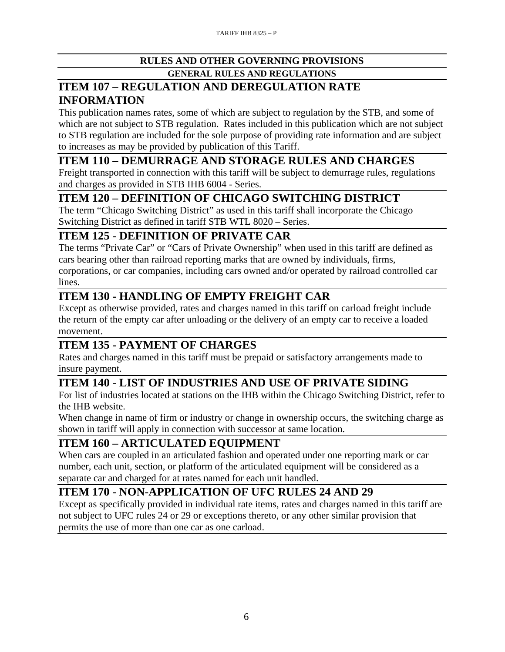#### **RULES AND OTHER GOVERNING PROVISIONS GENERAL RULES AND REGULATIONS**

## **ITEM 107 – REGULATION AND DEREGULATION RATE INFORMATION**

This publication names rates, some of which are subject to regulation by the STB, and some of which are not subject to STB regulation. Rates included in this publication which are not subject to STB regulation are included for the sole purpose of providing rate information and are subject to increases as may be provided by publication of this Tariff.

## **ITEM 110 – DEMURRAGE AND STORAGE RULES AND CHARGES**

Freight transported in connection with this tariff will be subject to demurrage rules, regulations and charges as provided in STB IHB 6004 - Series.

#### **ITEM 120 – DEFINITION OF CHICAGO SWITCHING DISTRICT**

The term "Chicago Switching District" as used in this tariff shall incorporate the Chicago Switching District as defined in tariff STB WTL 8020 – Series.

#### **ITEM 125 - DEFINITION OF PRIVATE CAR**

The terms "Private Car" or "Cars of Private Ownership" when used in this tariff are defined as cars bearing other than railroad reporting marks that are owned by individuals, firms,

corporations, or car companies, including cars owned and/or operated by railroad controlled car lines.

## **ITEM 130 - HANDLING OF EMPTY FREIGHT CAR**

Except as otherwise provided, rates and charges named in this tariff on carload freight include the return of the empty car after unloading or the delivery of an empty car to receive a loaded movement.

## **ITEM 135 - PAYMENT OF CHARGES**

Rates and charges named in this tariff must be prepaid or satisfactory arrangements made to insure payment.

# **ITEM 140 - LIST OF INDUSTRIES AND USE OF PRIVATE SIDING**

For list of industries located at stations on the IHB within the Chicago Switching District, refer to the IHB website.

When change in name of firm or industry or change in ownership occurs, the switching charge as shown in tariff will apply in connection with successor at same location.

## **ITEM 160 – ARTICULATED EQUIPMENT**

When cars are coupled in an articulated fashion and operated under one reporting mark or car number, each unit, section, or platform of the articulated equipment will be considered as a separate car and charged for at rates named for each unit handled.

## **ITEM 170 - NON-APPLICATION OF UFC RULES 24 AND 29**

Except as specifically provided in individual rate items, rates and charges named in this tariff are not subject to UFC rules 24 or 29 or exceptions thereto, or any other similar provision that permits the use of more than one car as one carload.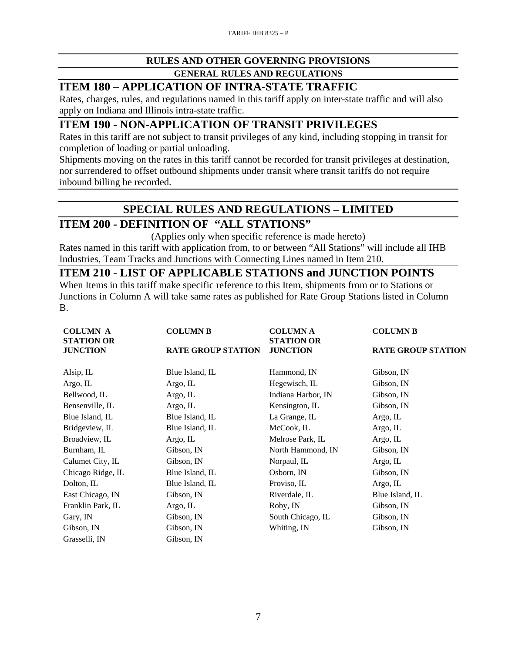# **RULES AND OTHER GOVERNING PROVISIONS**

**GENERAL RULES AND REGULATIONS** 

#### **ITEM 180 – APPLICATION OF INTRA-STATE TRAFFIC**

Rates, charges, rules, and regulations named in this tariff apply on inter-state traffic and will also apply on Indiana and Illinois intra-state traffic.

#### **ITEM 190 - NON-APPLICATION OF TRANSIT PRIVILEGES**

Rates in this tariff are not subject to transit privileges of any kind, including stopping in transit for completion of loading or partial unloading.

Shipments moving on the rates in this tariff cannot be recorded for transit privileges at destination, nor surrendered to offset outbound shipments under transit where transit tariffs do not require inbound billing be recorded.

## **SPECIAL RULES AND REGULATIONS – LIMITED**

## **ITEM 200 - DEFINITION OF "ALL STATIONS"**

(Applies only when specific reference is made hereto) Rates named in this tariff with application from, to or between "All Stations" will include all IHB Industries, Team Tracks and Junctions with Connecting Lines named in Item 210.

#### **ITEM 210 - LIST OF APPLICABLE STATIONS and JUNCTION POINTS**

When Items in this tariff make specific reference to this Item, shipments from or to Stations or Junctions in Column A will take same rates as published for Rate Group Stations listed in Column B.

| <b>COLUMN A</b><br><b>STATION OR</b>                            | <b>COLUMN B</b> | <b>COLUMN A</b><br><b>STATION OR</b> | <b>COLUMN B</b>           |  |
|-----------------------------------------------------------------|-----------------|--------------------------------------|---------------------------|--|
| <b>JUNCTION</b><br><b>JUNCTION</b><br><b>RATE GROUP STATION</b> |                 |                                      | <b>RATE GROUP STATION</b> |  |
| Alsip, IL                                                       | Blue Island, IL | Hammond, IN                          | Gibson, IN                |  |
| Argo, IL                                                        | Argo, IL        | Hegewisch, IL                        | Gibson, IN                |  |
| Bellwood, IL                                                    | Argo, IL        | Indiana Harbor, IN                   | Gibson, IN                |  |
| Bensenville, IL                                                 | Argo, IL        | Kensington, IL                       | Gibson, IN                |  |
| Blue Island, IL                                                 | Blue Island, IL | La Grange, IL                        | Argo, IL                  |  |
| Bridgeview, IL                                                  | Blue Island, IL | McCook, IL                           | Argo, IL                  |  |
| Broadview, IL                                                   | Argo, IL        | Melrose Park, IL                     | Argo, IL                  |  |
| Burnham, IL                                                     | Gibson, IN      | North Hammond, IN                    | Gibson, IN                |  |
| Calumet City, IL                                                | Gibson, IN      | Norpaul, IL                          | Argo, IL                  |  |
| Chicago Ridge, IL                                               | Blue Island, IL | Osborn, IN                           | Gibson, IN                |  |
| Dolton, IL                                                      | Blue Island, IL | Proviso, IL                          | Argo, IL                  |  |
| East Chicago, IN                                                | Gibson, IN      | Riverdale, IL                        | Blue Island, IL           |  |
| Franklin Park, IL                                               | Argo, IL        | Roby, IN                             | Gibson, IN                |  |
| Gary, IN                                                        | Gibson, IN      | South Chicago, IL                    | Gibson, IN                |  |
| Gibson, IN                                                      | Gibson, IN      | Whiting, IN                          | Gibson, IN                |  |
| Grasselli, IN                                                   | Gibson, IN      |                                      |                           |  |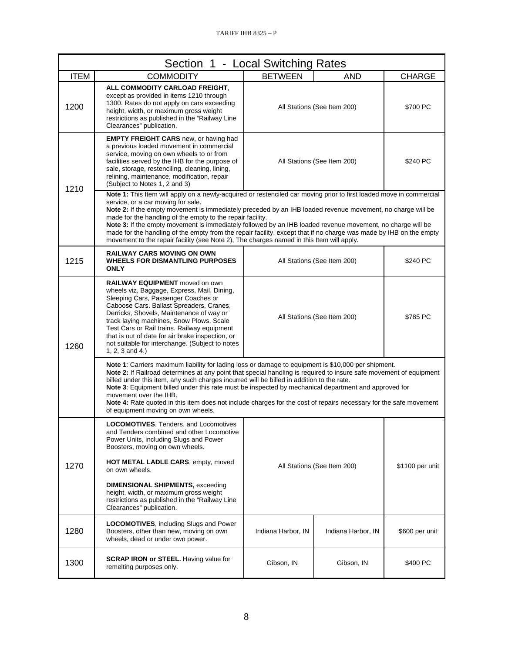| Section 1 - Local Switching Rates |                                                                                                                                                                                                                                                                                                                                                                                                                                                                                                                                                                                                                                                                       |                             |                             |                 |
|-----------------------------------|-----------------------------------------------------------------------------------------------------------------------------------------------------------------------------------------------------------------------------------------------------------------------------------------------------------------------------------------------------------------------------------------------------------------------------------------------------------------------------------------------------------------------------------------------------------------------------------------------------------------------------------------------------------------------|-----------------------------|-----------------------------|-----------------|
| <b>ITEM</b>                       | <b>COMMODITY</b>                                                                                                                                                                                                                                                                                                                                                                                                                                                                                                                                                                                                                                                      | <b>BETWEEN</b>              | <b>AND</b>                  | <b>CHARGE</b>   |
| 1200                              | ALL COMMODITY CARLOAD FREIGHT.<br>except as provided in items 1210 through<br>1300. Rates do not apply on cars exceeding<br>height, width, or maximum gross weight<br>restrictions as published in the "Railway Line<br>Clearances" publication.                                                                                                                                                                                                                                                                                                                                                                                                                      |                             | All Stations (See Item 200) | \$700 PC        |
| 1210                              | <b>EMPTY FREIGHT CARS</b> new, or having had<br>a previous loaded movement in commercial<br>service, moving on own wheels to or from<br>facilities served by the IHB for the purpose of<br>sale, storage, restenciling, cleaning, lining,<br>relining, maintenance, modification, repair<br>(Subject to Notes 1, 2 and 3)                                                                                                                                                                                                                                                                                                                                             | All Stations (See Item 200) |                             | \$240 PC        |
|                                   | Note 1: This Item will apply on a newly-acquired or restenciled car moving prior to first loaded move in commercial<br>service, or a car moving for sale.<br>Note 2: If the empty movement is immediately preceded by an IHB loaded revenue movement, no charge will be<br>made for the handling of the empty to the repair facility.<br>Note 3: If the empty movement is immediately followed by an IHB loaded revenue movement, no charge will be<br>made for the handling of the empty from the repair facility, except that if no charge was made by IHB on the empty<br>movement to the repair facility (see Note 2), The charges named in this Item will apply. |                             |                             |                 |
| 1215                              | <b>RAILWAY CARS MOVING ON OWN</b><br><b>WHEELS FOR DISMANTLING PURPOSES</b><br><b>ONLY</b>                                                                                                                                                                                                                                                                                                                                                                                                                                                                                                                                                                            | All Stations (See Item 200) |                             | \$240 PC        |
| 1260                              | <b>RAILWAY EQUIPMENT</b> moved on own<br>wheels viz, Baggage, Express, Mail, Dining,<br>Sleeping Cars, Passenger Coaches or<br>Caboose Cars. Ballast Spreaders, Cranes,<br>Derricks, Shovels, Maintenance of way or<br>track laying machines, Snow Plows, Scale<br>Test Cars or Rail trains. Railway equipment<br>that is out of date for air brake inspection, or<br>not suitable for interchange. (Subject to notes<br>1, 2, 3 and 4.)                                                                                                                                                                                                                              |                             | All Stations (See Item 200) | \$785 PC        |
|                                   | Note 1: Carriers maximum liability for lading loss or damage to equipment is \$10,000 per shipment.<br>Note 2: If Railroad determines at any point that special handling is required to insure safe movement of equipment<br>billed under this item, any such charges incurred will be billed in addition to the rate.<br>Note 3: Equipment billed under this rate must be inspected by mechanical department and approved for<br>movement over the IHB.<br><b>Note 4:</b> Rate quoted in this item does not include charges for the cost of repairs necessary for the safe movement<br>of equipment moving on own wheels.                                            |                             |                             |                 |
| 1270                              | <b>LOCOMOTIVES, Tenders, and Locomotives</b><br>and Tenders combined and other Locomotive<br>Power Units, including Slugs and Power<br>Boosters, moving on own wheels.                                                                                                                                                                                                                                                                                                                                                                                                                                                                                                |                             |                             |                 |
|                                   | HOT METAL LADLE CARS, empty, moved<br>on own wheels.                                                                                                                                                                                                                                                                                                                                                                                                                                                                                                                                                                                                                  | All Stations (See Item 200) |                             | \$1100 per unit |
|                                   | <b>DIMENSIONAL SHIPMENTS, exceeding</b><br>height, width, or maximum gross weight<br>restrictions as published in the "Railway Line<br>Clearances" publication.                                                                                                                                                                                                                                                                                                                                                                                                                                                                                                       |                             |                             |                 |
| 1280                              | <b>LOCOMOTIVES, including Slugs and Power</b><br>Boosters, other than new, moving on own<br>wheels, dead or under own power.                                                                                                                                                                                                                                                                                                                                                                                                                                                                                                                                          | Indiana Harbor, IN          | Indiana Harbor, IN          | \$600 per unit  |
| 1300                              | <b>SCRAP IRON or STEEL.</b> Having value for<br>remelting purposes only.                                                                                                                                                                                                                                                                                                                                                                                                                                                                                                                                                                                              | Gibson, IN                  | Gibson, IN                  | \$400 PC        |